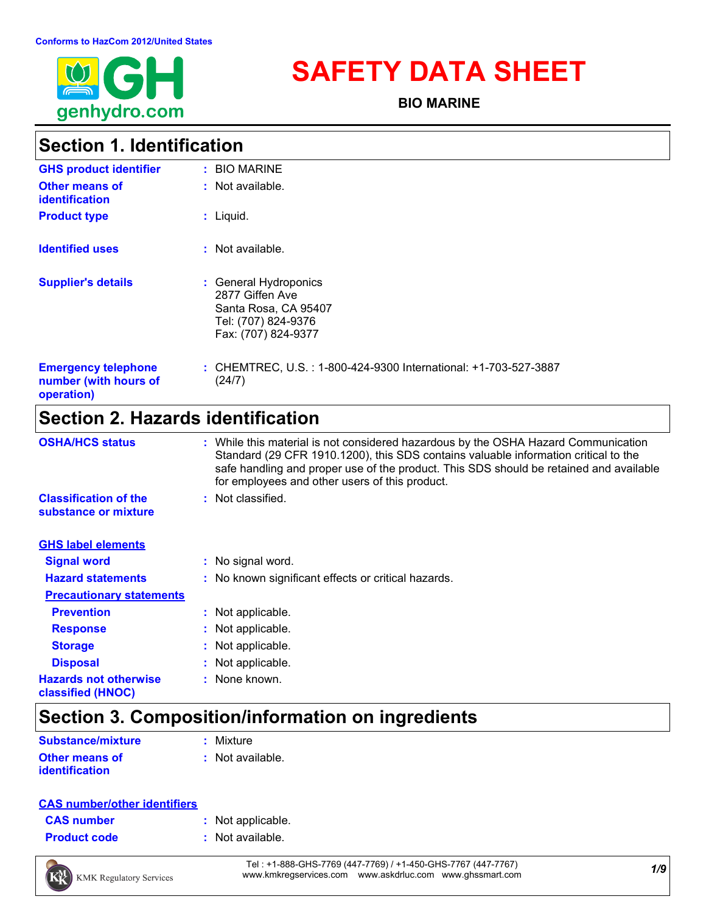

# **SAFETY DATA SHEET**

**BIO MARINE**

### **Section 1. Identification**

| <b>GHS product identifier</b>                                     | : BIO MARINE                                                                                                   |
|-------------------------------------------------------------------|----------------------------------------------------------------------------------------------------------------|
| <b>Other means of</b><br><b>identification</b>                    | $:$ Not available.                                                                                             |
| <b>Product type</b>                                               | $:$ Liquid.                                                                                                    |
| <b>Identified uses</b>                                            | $:$ Not available.                                                                                             |
| <b>Supplier's details</b>                                         | : General Hydroponics<br>2877 Giffen Ave<br>Santa Rosa, CA 95407<br>Tel: (707) 824-9376<br>Fax: (707) 824-9377 |
| <b>Emergency telephone</b><br>number (with hours of<br>operation) | : CHEMTREC, U.S. : 1-800-424-9300 International: +1-703-527-3887<br>(24/7)                                     |

### **Section 2. Hazards identification**

| <b>OSHA/HCS status</b>                               | : While this material is not considered hazardous by the OSHA Hazard Communication<br>Standard (29 CFR 1910.1200), this SDS contains valuable information critical to the<br>safe handling and proper use of the product. This SDS should be retained and available<br>for employees and other users of this product. |
|------------------------------------------------------|-----------------------------------------------------------------------------------------------------------------------------------------------------------------------------------------------------------------------------------------------------------------------------------------------------------------------|
| <b>Classification of the</b><br>substance or mixture | : Not classified.                                                                                                                                                                                                                                                                                                     |
| <b>GHS label elements</b>                            |                                                                                                                                                                                                                                                                                                                       |
| <b>Signal word</b>                                   | : No signal word.                                                                                                                                                                                                                                                                                                     |
| <b>Hazard statements</b>                             | : No known significant effects or critical hazards.                                                                                                                                                                                                                                                                   |
| <b>Precautionary statements</b>                      |                                                                                                                                                                                                                                                                                                                       |
| <b>Prevention</b>                                    | : Not applicable.                                                                                                                                                                                                                                                                                                     |
| <b>Response</b>                                      | : Not applicable.                                                                                                                                                                                                                                                                                                     |
| <b>Storage</b>                                       | : Not applicable.                                                                                                                                                                                                                                                                                                     |
| <b>Disposal</b>                                      | : Not applicable.                                                                                                                                                                                                                                                                                                     |
| <b>Hazards not otherwise</b><br>classified (HNOC)    | : None known.                                                                                                                                                                                                                                                                                                         |

### **Section 3. Composition/information on ingredients**

| <b>Substance/mixture</b> | : Mixture        |
|--------------------------|------------------|
| <b>Other means of</b>    | : Not available. |
| identification           |                  |

#### **CAS number/other identifiers**

| <b>CAS number</b> |  |
|-------------------|--|
|                   |  |

- **:** Not applicable.
- **Product code :** Not available.



*1/9* Tel : +1-888-GHS-7769 (447-7769) / +1-450-GHS-7767 (447-7767) www.kmkregservices.com www.askdrluc.com www.ghssmart.com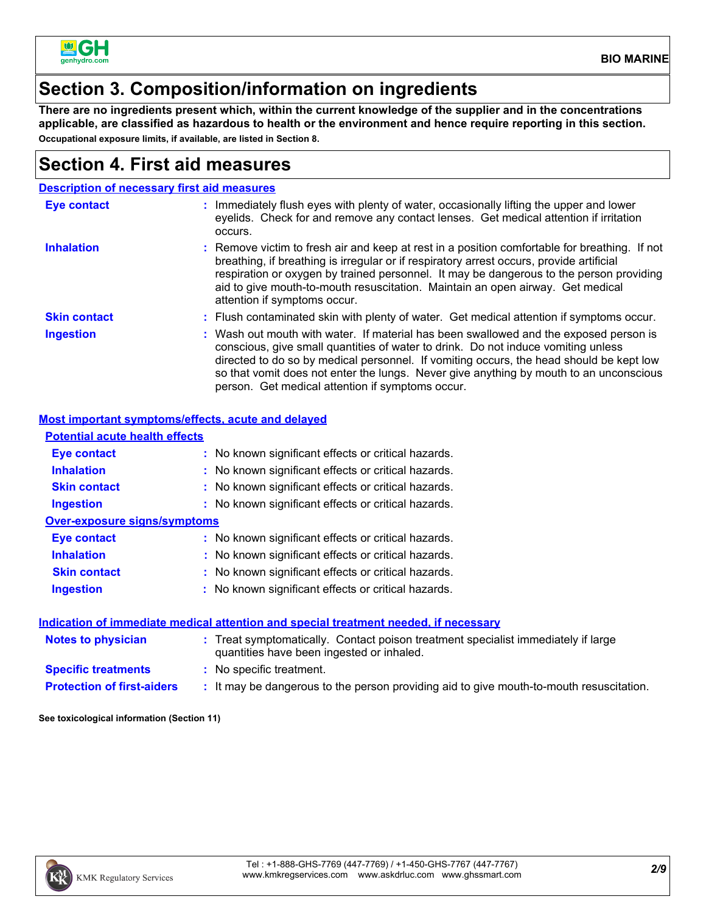

#### **Section 3. Composition/information on ingredients**

**There are no ingredients present which, within the current knowledge of the supplier and in the concentrations applicable, are classified as hazardous to health or the environment and hence require reporting in this section. Occupational exposure limits, if available, are listed in Section 8.**

#### **Section 4. First aid measures**

|                     | <b>Description of necessary first aid measures</b>                                                                                                                                                                                                                                                                                                                                                                  |
|---------------------|---------------------------------------------------------------------------------------------------------------------------------------------------------------------------------------------------------------------------------------------------------------------------------------------------------------------------------------------------------------------------------------------------------------------|
| <b>Eye contact</b>  | : Immediately flush eyes with plenty of water, occasionally lifting the upper and lower<br>eyelids. Check for and remove any contact lenses. Get medical attention if irritation<br>occurs.                                                                                                                                                                                                                         |
| <b>Inhalation</b>   | : Remove victim to fresh air and keep at rest in a position comfortable for breathing. If not<br>breathing, if breathing is irregular or if respiratory arrest occurs, provide artificial<br>respiration or oxygen by trained personnel. It may be dangerous to the person providing<br>aid to give mouth-to-mouth resuscitation. Maintain an open airway. Get medical<br>attention if symptoms occur.              |
| <b>Skin contact</b> | : Flush contaminated skin with plenty of water. Get medical attention if symptoms occur.                                                                                                                                                                                                                                                                                                                            |
| <b>Ingestion</b>    | : Wash out mouth with water. If material has been swallowed and the exposed person is<br>conscious, give small quantities of water to drink. Do not induce vomiting unless<br>directed to do so by medical personnel. If vomiting occurs, the head should be kept low<br>so that vomit does not enter the lungs. Never give anything by mouth to an unconscious<br>person. Get medical attention if symptoms occur. |

#### **Most important symptoms/effects, acute and delayed**

| <u>moot important oymptomo/chooto, aouto una aciayou</u> |                                                                                                                                |
|----------------------------------------------------------|--------------------------------------------------------------------------------------------------------------------------------|
| <b>Potential acute health effects</b>                    |                                                                                                                                |
| Eye contact                                              | : No known significant effects or critical hazards.                                                                            |
| <b>Inhalation</b>                                        | : No known significant effects or critical hazards.                                                                            |
| <b>Skin contact</b>                                      | : No known significant effects or critical hazards.                                                                            |
| <b>Ingestion</b>                                         | : No known significant effects or critical hazards.                                                                            |
| <b>Over-exposure signs/symptoms</b>                      |                                                                                                                                |
| Eye contact                                              | : No known significant effects or critical hazards.                                                                            |
| <b>Inhalation</b>                                        | : No known significant effects or critical hazards.                                                                            |
| <b>Skin contact</b>                                      | : No known significant effects or critical hazards.                                                                            |
| <b>Ingestion</b>                                         | : No known significant effects or critical hazards.                                                                            |
|                                                          | Indication of immediate medical attention and special treatment needed, if necessary                                           |
| <b>Notes to physician</b>                                | : Treat symptomatically. Contact poison treatment specialist immediately if large<br>quantities have been ingested or inhaled. |
| <b>Specific treatments</b>                               | : No specific treatment.                                                                                                       |
| <b>Protection of first-aiders</b>                        | : It may be dangerous to the person providing aid to give mouth-to-mouth resuscitation.                                        |

**See toxicological information (Section 11)**

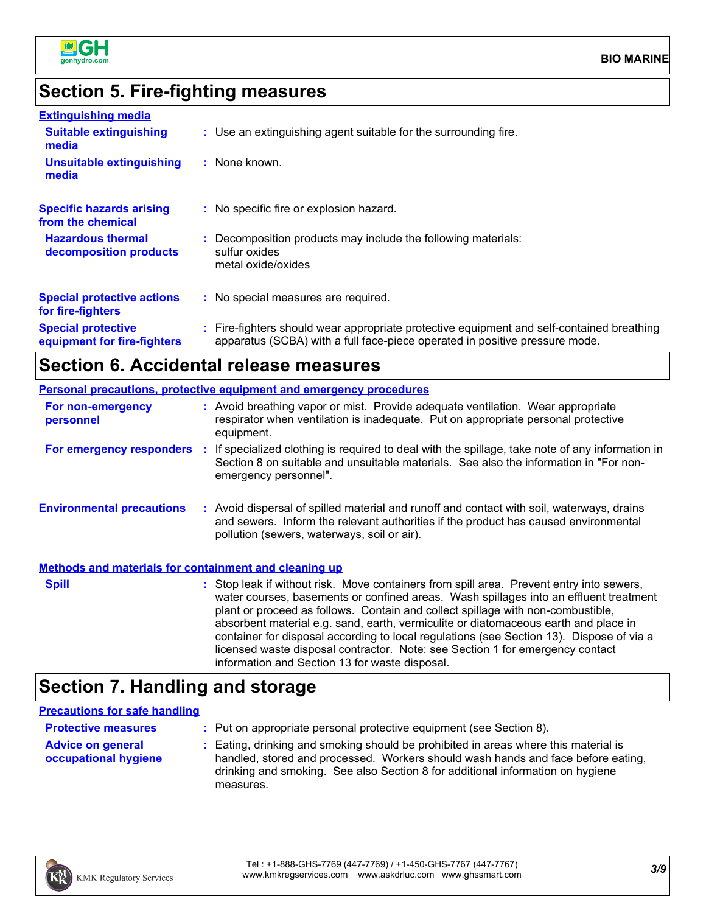

#### **Section 5. Fire-fighting measures**

| <b>Extinguishing media</b>                               |                                                                                                                                                                          |
|----------------------------------------------------------|--------------------------------------------------------------------------------------------------------------------------------------------------------------------------|
| <b>Suitable extinguishing</b><br>media                   | : Use an extinguishing agent suitable for the surrounding fire.                                                                                                          |
| <b>Unsuitable extinguishing</b><br>media                 | : None known.                                                                                                                                                            |
| <b>Specific hazards arising</b><br>from the chemical     | : No specific fire or explosion hazard.                                                                                                                                  |
| <b>Hazardous thermal</b><br>decomposition products       | : Decomposition products may include the following materials:<br>sulfur oxides<br>metal oxide/oxides                                                                     |
| <b>Special protective actions</b><br>for fire-fighters   | : No special measures are required.                                                                                                                                      |
| <b>Special protective</b><br>equipment for fire-fighters | : Fire-fighters should wear appropriate protective equipment and self-contained breathing<br>apparatus (SCBA) with a full face-piece operated in positive pressure mode. |

#### **Section 6. Accidental release measures**

#### **Environmental precautions Personal precautions, protective equipment and emergency procedures :** Avoid dispersal of spilled material and runoff and contact with soil, waterways, drains **:** Avoid breathing vapor or mist. Provide adequate ventilation. Wear appropriate respirator when ventilation is inadequate. Put on appropriate personal protective equipment. and sewers. Inform the relevant authorities if the product has caused environmental pollution (sewers, waterways, soil or air). **Methods and materials for containment and cleaning up For non-emergency personnel For emergency responders :** If specialized clothing is required to deal with the spillage, take note of any information in Section 8 on suitable and unsuitable materials. See also the information in "For nonemergency personnel". **Spill** Stop leak if without risk. Move containers from spill area. Prevent entry into sewers, water courses, basements or confined areas. Wash spillages into an effluent treatment plant or proceed as follows. Contain and collect spillage with non-combustible, absorbent material e.g. sand, earth, vermiculite or diatomaceous earth and place in container for disposal according to local regulations (see Section 13). Dispose of via a

### **Section 7. Handling and storage**

#### **Precautions for safe handling**

| <b>Protective measures</b>                       | : Put on appropriate personal protective equipment (see Section 8).                                                                                                                                                                                                    |
|--------------------------------------------------|------------------------------------------------------------------------------------------------------------------------------------------------------------------------------------------------------------------------------------------------------------------------|
| <b>Advice on general</b><br>occupational hygiene | : Eating, drinking and smoking should be prohibited in areas where this material is<br>handled, stored and processed. Workers should wash hands and face before eating,<br>drinking and smoking. See also Section 8 for additional information on hygiene<br>measures. |

information and Section 13 for waste disposal.



licensed waste disposal contractor. Note: see Section 1 for emergency contact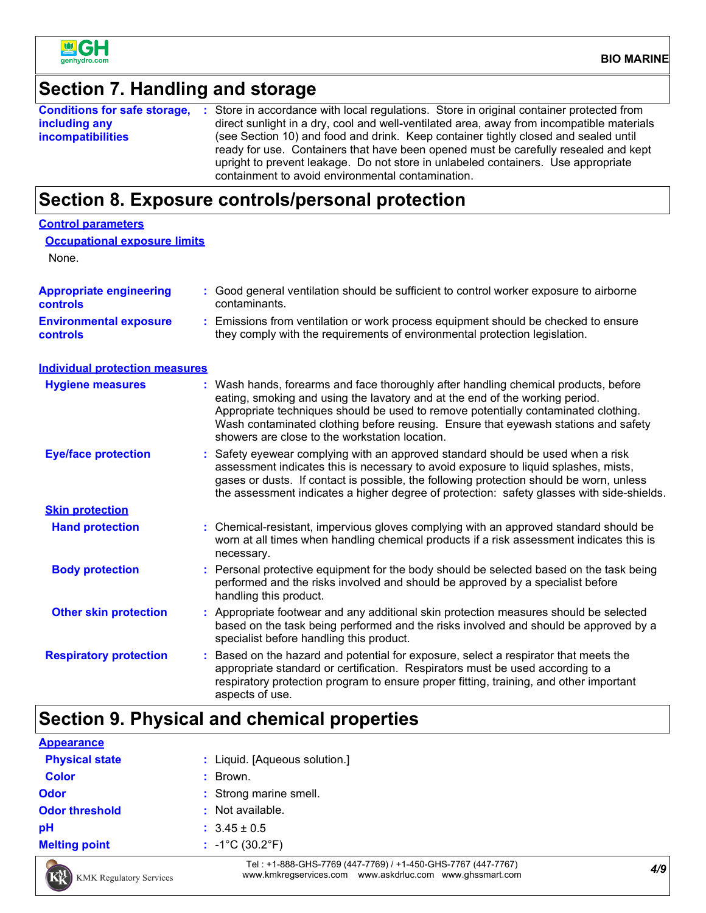

#### **Section 7. Handling and storage**

|                          | <b>Conditions for safe storage, :</b> Store in accordance with local regulations. Store in original container protected from                                               |
|--------------------------|----------------------------------------------------------------------------------------------------------------------------------------------------------------------------|
| including any            | direct sunlight in a dry, cool and well-ventilated area, away from incompatible materials                                                                                  |
| <i>incompatibilities</i> | (see Section 10) and food and drink. Keep container tightly closed and sealed until<br>ready for use. Containers that have been opened must be carefully resealed and kept |
|                          | upright to prevent leakage. Do not store in unlabeled containers. Use appropriate<br>containment to avoid environmental contamination.                                     |

### **Section 8. Exposure controls/personal protection**

| <b>Control parameters</b>                         |                                                                                                                                                                                                                                                                                                                                                                                                   |
|---------------------------------------------------|---------------------------------------------------------------------------------------------------------------------------------------------------------------------------------------------------------------------------------------------------------------------------------------------------------------------------------------------------------------------------------------------------|
| <b>Occupational exposure limits</b><br>None.      |                                                                                                                                                                                                                                                                                                                                                                                                   |
| <b>Appropriate engineering</b><br><b>controls</b> | : Good general ventilation should be sufficient to control worker exposure to airborne<br>contaminants.                                                                                                                                                                                                                                                                                           |
| <b>Environmental exposure</b><br><b>controls</b>  | : Emissions from ventilation or work process equipment should be checked to ensure<br>they comply with the requirements of environmental protection legislation.                                                                                                                                                                                                                                  |
| <b>Individual protection measures</b>             |                                                                                                                                                                                                                                                                                                                                                                                                   |
| <b>Hygiene measures</b>                           | : Wash hands, forearms and face thoroughly after handling chemical products, before<br>eating, smoking and using the lavatory and at the end of the working period.<br>Appropriate techniques should be used to remove potentially contaminated clothing.<br>Wash contaminated clothing before reusing. Ensure that eyewash stations and safety<br>showers are close to the workstation location. |
| <b>Eye/face protection</b>                        | Safety eyewear complying with an approved standard should be used when a risk<br>assessment indicates this is necessary to avoid exposure to liquid splashes, mists,<br>gases or dusts. If contact is possible, the following protection should be worn, unless<br>the assessment indicates a higher degree of protection: safety glasses with side-shields.                                      |
| <b>Skin protection</b>                            |                                                                                                                                                                                                                                                                                                                                                                                                   |
| <b>Hand protection</b>                            | : Chemical-resistant, impervious gloves complying with an approved standard should be<br>worn at all times when handling chemical products if a risk assessment indicates this is<br>necessary.                                                                                                                                                                                                   |
| <b>Body protection</b>                            | : Personal protective equipment for the body should be selected based on the task being<br>performed and the risks involved and should be approved by a specialist before<br>handling this product.                                                                                                                                                                                               |
| <b>Other skin protection</b>                      | : Appropriate footwear and any additional skin protection measures should be selected<br>based on the task being performed and the risks involved and should be approved by a<br>specialist before handling this product.                                                                                                                                                                         |
| <b>Respiratory protection</b>                     | : Based on the hazard and potential for exposure, select a respirator that meets the<br>appropriate standard or certification. Respirators must be used according to a<br>respiratory protection program to ensure proper fitting, training, and other important<br>aspects of use.                                                                                                               |

## **Section 9. Physical and chemical properties**

|                       | : $-1^{\circ}C(30.2^{\circ}F)$ |
|-----------------------|--------------------------------|
| <b>Melting point</b>  |                                |
| pH                    | $: 3.45 \pm 0.5$               |
| <b>Odor threshold</b> | : Not available.               |
| <b>Odor</b>           | : Strong marine smell.         |
| <b>Color</b>          | Brown.<br>÷.                   |
| <b>Physical state</b> | : Liquid. [Aqueous solution.]  |
| <b>Appearance</b>     |                                |



*4/9* Tel : +1-888-GHS-7769 (447-7769) / +1-450-GHS-7767 (447-7767) www.kmkregservices.com www.askdrluc.com www.ghssmart.com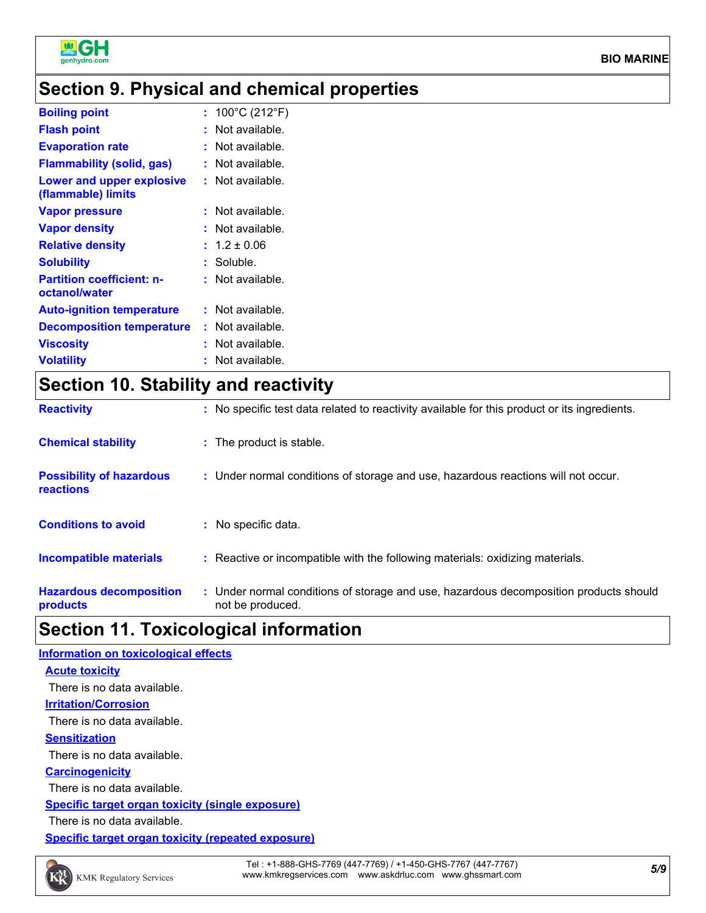

### **Section 9. Physical and chemical properties**

| <b>Boiling point</b>                              | : $100^{\circ}$ C (212 $^{\circ}$ F) |  |
|---------------------------------------------------|--------------------------------------|--|
| <b>Flash point</b>                                | $:$ Not available.                   |  |
| <b>Evaporation rate</b>                           | : Not available.                     |  |
| <b>Flammability (solid, gas)</b>                  | $:$ Not available.                   |  |
| Lower and upper explosive<br>(flammable) limits   | $:$ Not available.                   |  |
| <b>Vapor pressure</b>                             | $:$ Not available.                   |  |
| <b>Vapor density</b>                              | : Not available.                     |  |
| <b>Relative density</b>                           | $: 1.2 \pm 0.06$                     |  |
| <b>Solubility</b>                                 | $:$ Soluble.                         |  |
| <b>Partition coefficient: n-</b><br>octanol/water | $:$ Not available.                   |  |
| <b>Auto-ignition temperature</b>                  | : Not available.                     |  |
| <b>Decomposition temperature</b>                  | : Not available.                     |  |
| <b>Viscosity</b>                                  | $:$ Not available.                   |  |
| <b>Volatility</b>                                 | : Not available.                     |  |
|                                                   |                                      |  |

### **Section 10. Stability and reactivity**

| <b>Reactivity</b>                            | : No specific test data related to reactivity available for this product or its ingredients.              |
|----------------------------------------------|-----------------------------------------------------------------------------------------------------------|
| <b>Chemical stability</b>                    | : The product is stable.                                                                                  |
| <b>Possibility of hazardous</b><br>reactions | : Under normal conditions of storage and use, hazardous reactions will not occur.                         |
| <b>Conditions to avoid</b>                   | : No specific data.                                                                                       |
| <b>Incompatible materials</b>                | : Reactive or incompatible with the following materials: oxidizing materials.                             |
| <b>Hazardous decomposition</b><br>products   | : Under normal conditions of storage and use, hazardous decomposition products should<br>not be produced. |

### **Section 11. Toxicological information**

| Information on toxicological effects               |  |
|----------------------------------------------------|--|
| <b>Acute toxicity</b>                              |  |
| There is no data available.                        |  |
| <b>Irritation/Corrosion</b>                        |  |
| There is no data available.                        |  |
| <b>Sensitization</b>                               |  |
| There is no data available.                        |  |
| <b>Carcinogenicity</b>                             |  |
| There is no data available.                        |  |
| Specific target organ toxicity (single exposure)   |  |
| There is no data available.                        |  |
| Specific target organ toxicity (repeated exposure) |  |



*5/9* Tel : +1-888-GHS-7769 (447-7769) / +1-450-GHS-7767 (447-7767) www.kmkregservices.com www.askdrluc.com www.ghssmart.com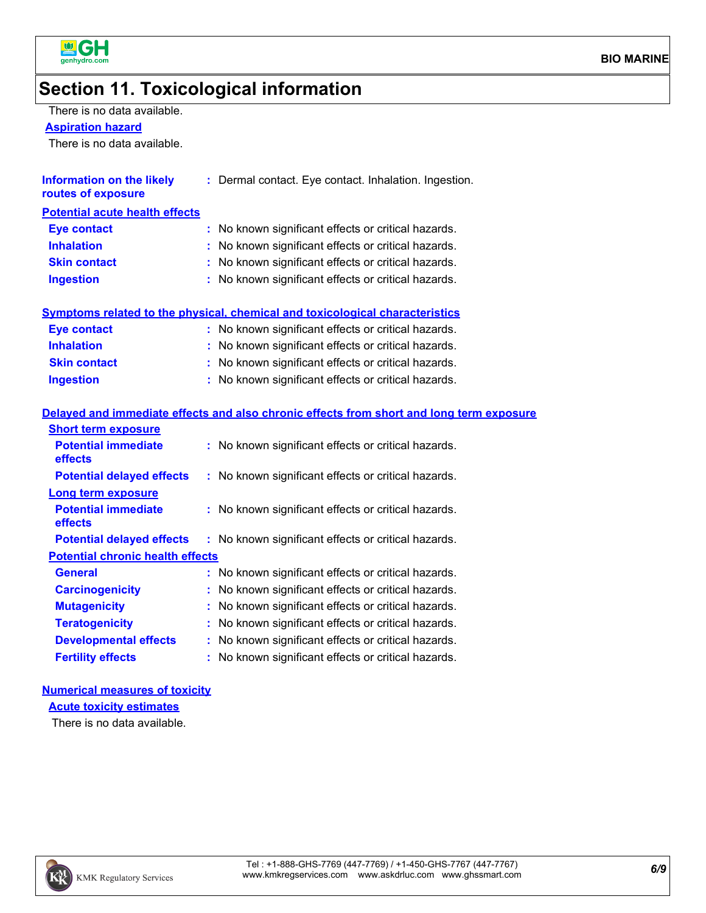

#### **Section 11. Toxicological information**

There is no data available.

#### **Aspiration hazard**

There is no data available.

| Information on the likely<br>routes of exposure | : Dermal contact. Eye contact. Inhalation. Ingestion. |
|-------------------------------------------------|-------------------------------------------------------|
| <b>Potential acute health effects</b>           |                                                       |
| <b>Eye contact</b>                              | : No known significant effects or critical hazards.   |
| <b>Inhalation</b>                               | : No known significant effects or critical hazards.   |
| <b>Skin contact</b>                             | : No known significant effects or critical hazards.   |
| <b>Ingestion</b>                                | : No known significant effects or critical hazards.   |
|                                                 |                                                       |

#### **Symptoms related to the physical, chemical and toxicological characteristics**

| Eye contact         | : No known significant effects or critical hazards. |
|---------------------|-----------------------------------------------------|
| <b>Inhalation</b>   | : No known significant effects or critical hazards. |
| <b>Skin contact</b> | : No known significant effects or critical hazards. |
| <b>Ingestion</b>    | : No known significant effects or critical hazards. |

#### **Delayed and immediate effects and also chronic effects from short and long term exposure**

| <b>Short term exposure</b>              |                                                     |
|-----------------------------------------|-----------------------------------------------------|
| <b>Potential immediate</b><br>effects   | : No known significant effects or critical hazards. |
| <b>Potential delayed effects</b>        | : No known significant effects or critical hazards. |
| <b>Long term exposure</b>               |                                                     |
| <b>Potential immediate</b><br>effects   | : No known significant effects or critical hazards. |
| <b>Potential delayed effects</b>        | : No known significant effects or critical hazards. |
| <b>Potential chronic health effects</b> |                                                     |
| <b>General</b>                          | : No known significant effects or critical hazards. |
| <b>Carcinogenicity</b>                  | : No known significant effects or critical hazards. |
| <b>Mutagenicity</b>                     | : No known significant effects or critical hazards. |
| <b>Teratogenicity</b>                   | : No known significant effects or critical hazards. |
| <b>Developmental effects</b>            | : No known significant effects or critical hazards. |
| <b>Fertility effects</b>                | : No known significant effects or critical hazards. |

#### **Numerical measures of toxicity**

**Acute toxicity estimates**

There is no data available.

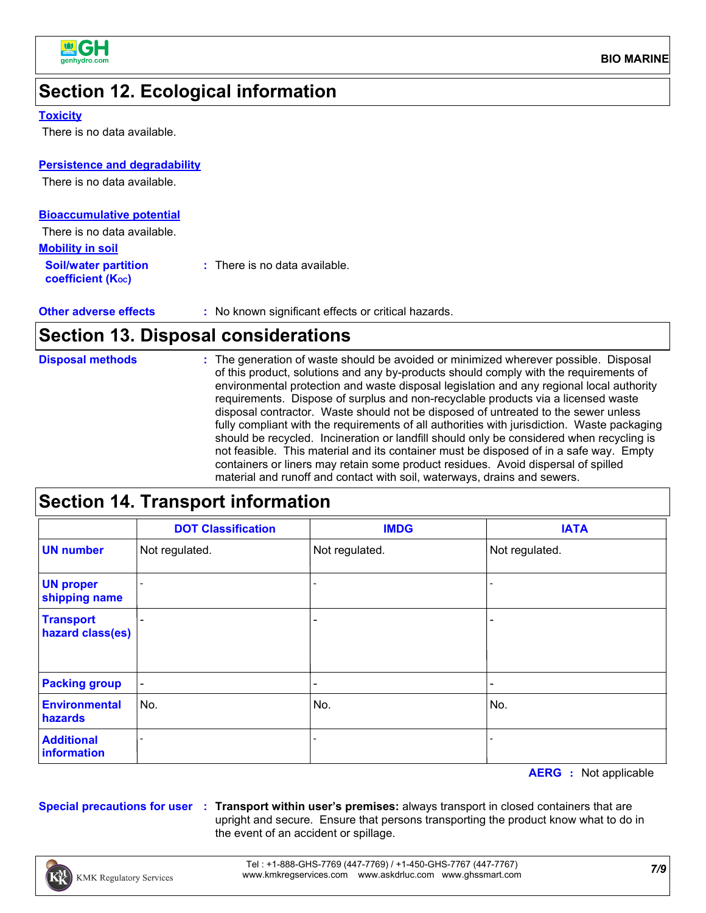

### **Section 12. Ecological information**

#### **Toxicity**

There is no data available.

#### **Persistence and degradability**

There is no data available.

| <b>Bioaccumulative potential</b>                        |                                          |
|---------------------------------------------------------|------------------------------------------|
| There is no data available.                             |                                          |
| <b>Mobility in soil</b>                                 |                                          |
| <b>Soil/water partition</b><br><b>coefficient (Koc)</b> | $\therefore$ There is no data available. |

| <b>Other adverse effects</b> | : No known significant effects or critical hazards. |
|------------------------------|-----------------------------------------------------|
|------------------------------|-----------------------------------------------------|

#### **Section 13. Disposal considerations**

| : The generation of waste should be avoided or minimized wherever possible. Disposal<br><b>Disposal methods</b><br>of this product, solutions and any by-products should comply with the requirements of<br>environmental protection and waste disposal legislation and any regional local authority<br>requirements. Dispose of surplus and non-recyclable products via a licensed waste<br>disposal contractor. Waste should not be disposed of untreated to the sewer unless<br>fully compliant with the requirements of all authorities with jurisdiction. Waste packaging<br>should be recycled. Incineration or landfill should only be considered when recycling is<br>not feasible. This material and its container must be disposed of in a safe way. Empty<br>containers or liners may retain some product residues. Avoid dispersal of spilled<br>material and runoff and contact with soil, waterways, drains and sewers. |
|---------------------------------------------------------------------------------------------------------------------------------------------------------------------------------------------------------------------------------------------------------------------------------------------------------------------------------------------------------------------------------------------------------------------------------------------------------------------------------------------------------------------------------------------------------------------------------------------------------------------------------------------------------------------------------------------------------------------------------------------------------------------------------------------------------------------------------------------------------------------------------------------------------------------------------------|

### **Section 14. Transport information**

|                                      | <b>DOT Classification</b> | <b>IMDG</b>              | <b>IATA</b>                  |
|--------------------------------------|---------------------------|--------------------------|------------------------------|
| <b>UN number</b>                     | Not regulated.            | Not regulated.           | Not regulated.               |
| <b>UN proper</b><br>shipping name    |                           |                          |                              |
| <b>Transport</b><br>hazard class(es) | $\overline{\phantom{0}}$  |                          | $\qquad \qquad \blacksquare$ |
| <b>Packing group</b>                 | $\blacksquare$            | $\overline{\phantom{0}}$ | $\qquad \qquad \blacksquare$ |
| <b>Environmental</b><br>hazards      | No.                       | No.                      | No.                          |
| <b>Additional</b><br>information     |                           |                          |                              |

**AERG :** Not applicable

**Special precautions for user Transport within user's premises:** always transport in closed containers that are **:** upright and secure. Ensure that persons transporting the product know what to do in the event of an accident or spillage.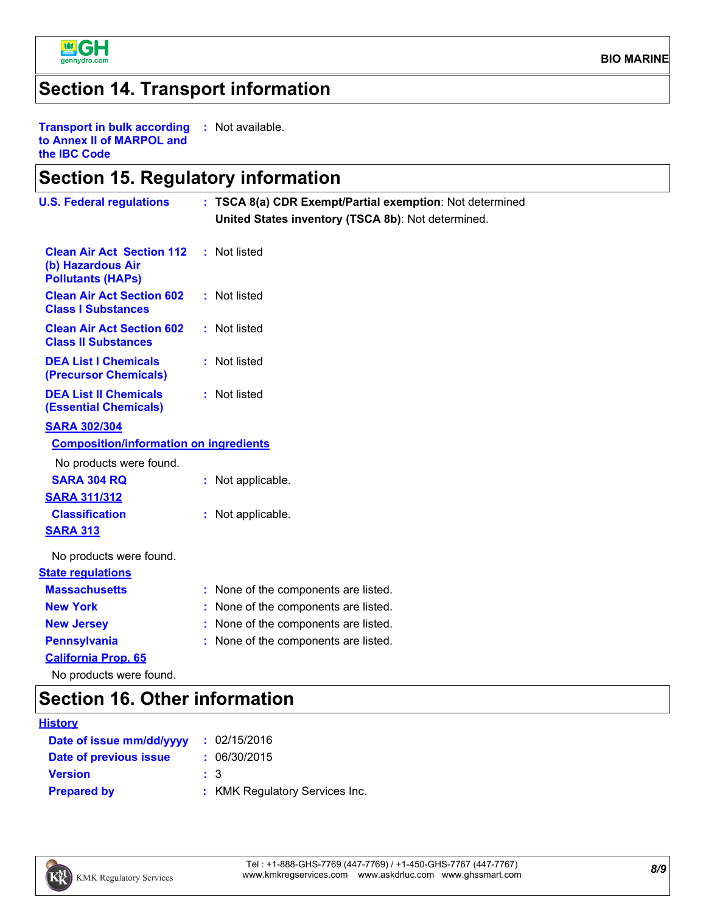

### **Section 14. Transport information**

**Transport in bulk according :** Not available. **to Annex II of MARPOL and the IBC Code**

### **Section 15. Regulatory information**

| <b>U.S. Federal regulations</b>                                                   | : TSCA 8(a) CDR Exempt/Partial exemption: Not determined |
|-----------------------------------------------------------------------------------|----------------------------------------------------------|
|                                                                                   | United States inventory (TSCA 8b): Not determined.       |
| <b>Clean Air Act Section 112</b><br>(b) Hazardous Air<br><b>Pollutants (HAPs)</b> | : Not listed                                             |
| <b>Clean Air Act Section 602</b><br><b>Class I Substances</b>                     | : Not listed                                             |
| <b>Clean Air Act Section 602</b><br><b>Class II Substances</b>                    | : Not listed                                             |
| <b>DEA List I Chemicals</b><br>(Precursor Chemicals)                              | : Not listed                                             |
| <b>DEA List II Chemicals</b><br><b>(Essential Chemicals)</b>                      | : Not listed                                             |
| <b>SARA 302/304</b>                                                               |                                                          |
| <b>Composition/information on ingredients</b>                                     |                                                          |
| No products were found.                                                           |                                                          |
| <b>SARA 304 RQ</b>                                                                | : Not applicable.                                        |
| <b>SARA 311/312</b>                                                               |                                                          |
| <b>Classification</b>                                                             | : Not applicable.                                        |
| <b>SARA 313</b>                                                                   |                                                          |
| No products were found.                                                           |                                                          |
| <b>State regulations</b>                                                          |                                                          |
| <b>Massachusetts</b>                                                              | : None of the components are listed.                     |
| <b>New York</b>                                                                   | : None of the components are listed.                     |
| <b>New Jersey</b>                                                                 | : None of the components are listed.                     |
| <b>Pennsylvania</b>                                                               | : None of the components are listed.                     |
| <b>California Prop. 65</b>                                                        |                                                          |
| No products were found.                                                           |                                                          |

#### **Section 16. Other information**

| <b>History</b>           |                                |
|--------------------------|--------------------------------|
| Date of issue mm/dd/yyyy | : 02/15/2016                   |
| Date of previous issue   | : 06/30/2015                   |
| <b>Version</b>           | $\pm$ 3                        |
| <b>Prepared by</b>       | : KMK Regulatory Services Inc. |